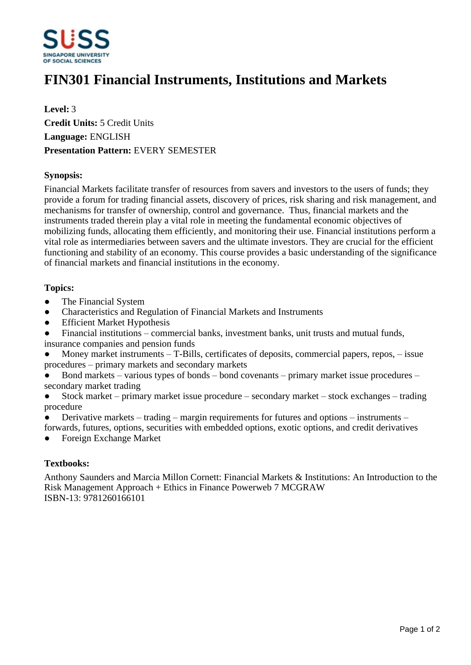

# **FIN301 Financial Instruments, Institutions and Markets**

**Level:** 3 **Credit Units:** 5 Credit Units **Language:** ENGLISH **Presentation Pattern:** EVERY SEMESTER

## **Synopsis:**

Financial Markets facilitate transfer of resources from savers and investors to the users of funds; they provide a forum for trading financial assets, discovery of prices, risk sharing and risk management, and mechanisms for transfer of ownership, control and governance. Thus, financial markets and the instruments traded therein play a vital role in meeting the fundamental economic objectives of mobilizing funds, allocating them efficiently, and monitoring their use. Financial institutions perform a vital role as intermediaries between savers and the ultimate investors. They are crucial for the efficient functioning and stability of an economy. This course provides a basic understanding of the significance of financial markets and financial institutions in the economy.

#### **Topics:**

- The Financial System
- Characteristics and Regulation of Financial Markets and Instruments
- Efficient Market Hypothesis
- $\bullet$  Financial institutions commercial banks, investment banks, unit trusts and mutual funds,
- insurance companies and pension funds
- Money market instruments  $-T-Bills$ , certificates of deposits, commercial papers, repos,  $-\text{issue}$ procedures – primary markets and secondary markets
- Bond markets  $-$  various types of bonds  $-$  bond covenants  $-$  primary market issue procedures  $$ secondary market trading
- $\bullet$  Stock market  $-\text{primary market}$  issue procedure  $-\text{secondary market} \text{stock exchanges} \text{trading}$ procedure
- Derivative markets  $-$  trading  $-$  margin requirements for futures and options  $-$  instruments  $-$
- forwards, futures, options, securities with embedded options, exotic options, and credit derivatives ƔForeign Exchange Market

## **Textbooks:**

Anthony Saunders and Marcia Millon Cornett: Financial Markets & Institutions: An Introduction to the Risk Management Approach + Ethics in Finance Powerweb 7 MCGRAW ISBN-13: 9781260166101